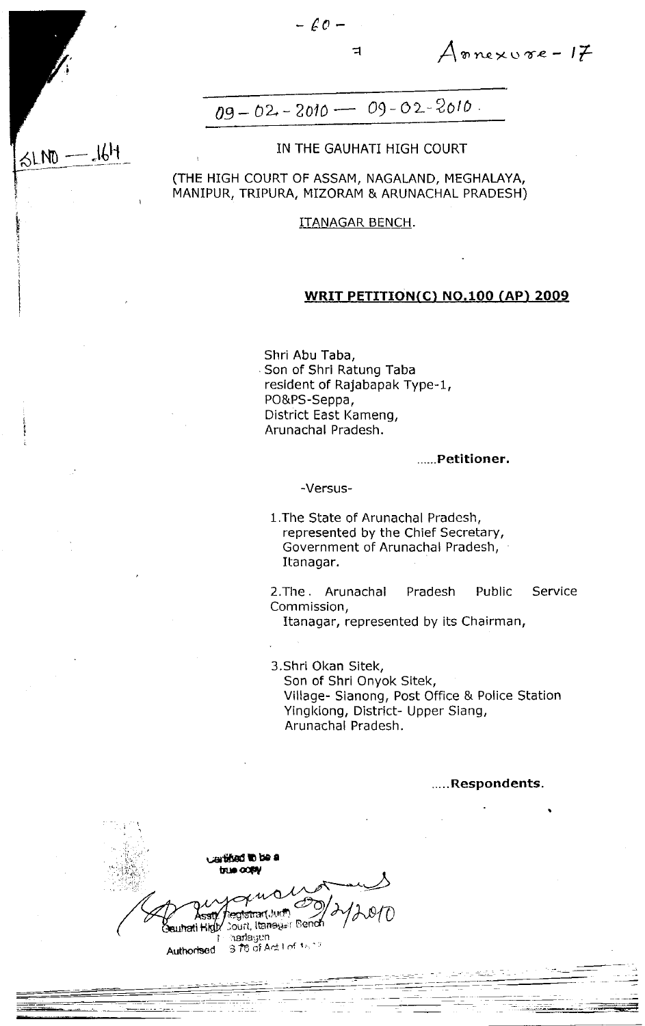$5LND - 16H$ 

 $A$ nnexvre- $I\neq$ 

# $09 - 02 - 2010 - 09 - 02 - 2010$ .

## IN THE GAUHATI HIGH COURT

(THE HIGH COURT OF ASSAM, NAGALAND, MEGHALAYA, MANIPUR, TRIPURA, MIZORAM & ARUNACHAL PRADESH)

## **ITANAGAR BENCH.**

## WRIT PETITION(C) NO.100 (AP) 2009

Shri Abu Taba, Son of Shri Ratung Taba resident of Rajabapak Type-1, PO&PS-Seppa, District East Kameng, Arunachal Pradesh.

#### .....Petitioner.

#### -Versus-

1. The State of Arunachal Pradesh, represented by the Chief Secretary, Government of Arunachal Pradesh, Itanagar.

2. The Arunachal Pradesh Public Service Commission,

Itanagar, represented by its Chairman,

3. Shri Okan Sitek, Son of Shri Onyok Sitek, Village- Sianong, Post Office & Police Station Yingkiong, District- Upper Siang, Arunachal Pradesh.

.....Respondents.

ertified to be a true comu egistran(Juri<sup>a</sup>) **Court, Itansus: Bench** Seuhati Hidix harlayen 378 of Act I of the Authorised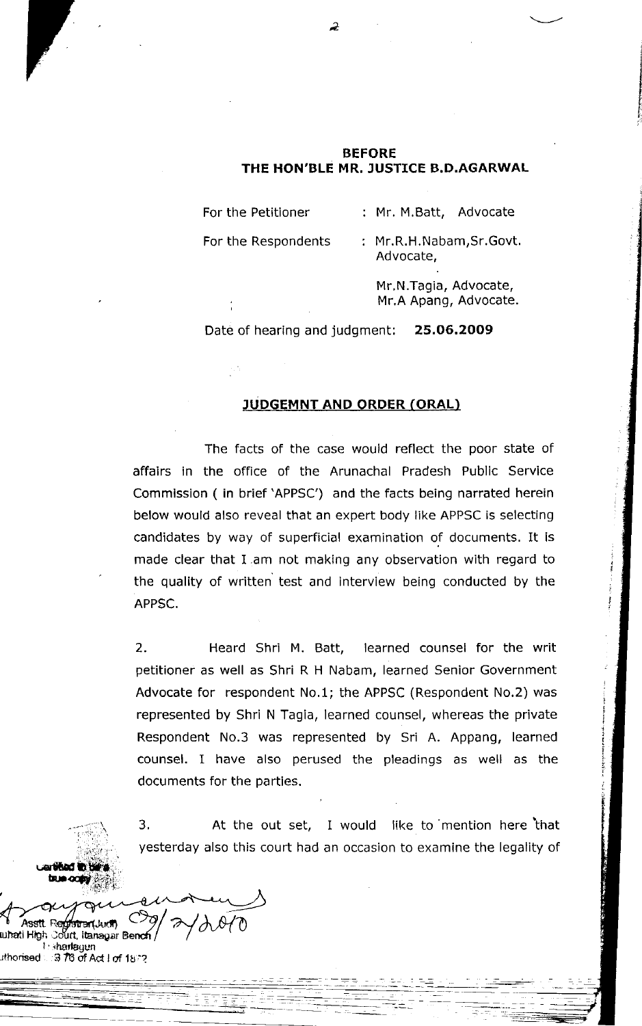## **BEFORE** THE HON'BLE MR. JUSTICE B.D.AGARWAL

For the Petitioner

: Mr. M.Batt, Advocate

For the Respondents

: Mr.R.H.Nabam, Sr.Govt. Advocate,

> Mr.N.Tagia, Advocate, Mr.A Apang, Advocate.

Date of hearing and judgment: 25.06.2009

## **JUDGEMNT AND ORDER (ORAL)**

The facts of the case would reflect the poor state of affairs in the office of the Arunachal Pradesh Public Service Commission (in brief 'APPSC') and the facts being narrated herein below would also reveal that an expert body like APPSC is selecting candidates by way of superficial examination of documents. It is made clear that I am not making any observation with regard to the quality of written test and interview being conducted by the APPSC.

Heard Shri M. Batt,  $2.$ learned counsel for the writ petitioner as well as Shri R H Nabam, learned Senior Government Advocate for respondent No.1; the APPSC (Respondent No.2) was represented by Shri N Tagia, learned counsel, whereas the private Respondent No.3 was represented by Sri A. Appang, learned counsel. I have also perused the pleadings as well as the documents for the parties.

3. At the out set, I would like to mention here that yesterday also this court had an occasion to examine the legality of

Asstt Red <del>รา</del>ลา แห**ท** เบกลย์ High Court, Itanagar Bend **I**: sharlagun ithorised ∴ 3 78 of Act I of 18??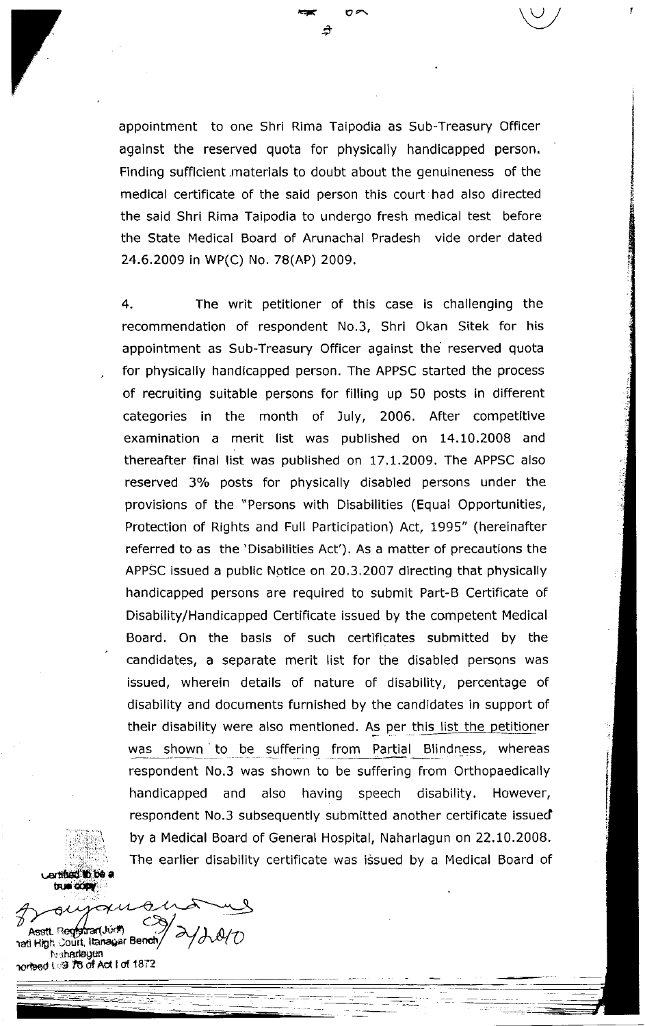appointment to one Shri Rima Taipodia as Sub-Treasury Officer against the reserved quota for physically handicapped person, Finding sufflcient materials to doubt about the genuineness of the medical certificate of the said person this court had also directed the said Shri Rima Taipodia to undergo fresh medical test before the State Medical Board of Arunachal Pradesh vide order dated 24.6.2009 in wP(C) No. 7B(AP) 2009.

+

 $\Rightarrow$  0z\  $\qquad \qquad \backslash \cup$ 

4. The writ petitioner of this case is challenging the recommendation of respondent No.3, Shri Okan Sitek for his appointment as Sub-Treasury Officer against the reserved quota for physically handicapped person. The APPSC started the process of recruiting suitable persons for filling up 50 posts in different categories in the month of July, 2006. After competitive examination a merit list was published on 14.10.2008 and thereafter final list was published on 17.1.2009. The APPSC also reserved 3% posts for physically disabled persons under the provisions of the "Persons with Disabilities (Equal Opportunities, Protection of Rights and Full Participation) Act, 1995" (hereinafter referred to as the'Disabilities Act'). As a matter of precautions the APPSC issued a public Notice on 20.3.2007 directing that physically handicapped persons are required to submit Part-B Certificate of Disability/Handicapped Certificate issued by the competent Medical Board, On the basis of such certificates submitted by the candidates, a separate merit list for the disabled persons was issued, wherein details of nature of disability, percentage of disability and documents furnished by the candidates in support of their disability were also mentioned. As per this list the petitioner was shown to be suffering from Partial Blindness, whereas respondent No.3 was shown to be suffering from Orthopaedically handicapped and also having speech disability, However, respondent No.3 subsequently submitted another certificate issued by a Medical Board of General Hospital, Naharlagun on 22,10.2008, The earlier disability certificate was issued by a Medical Board of

arti**nal in he**  $t$ rue  $\overline{\text{conv}}$ 

 $\ddot{\ }$ 

Q. Asstt Registrar(Juri) li High Court, Itanayar Bench t r .rhatlagun nලගේ t*ැ*ම 7්ප of Act I of 1872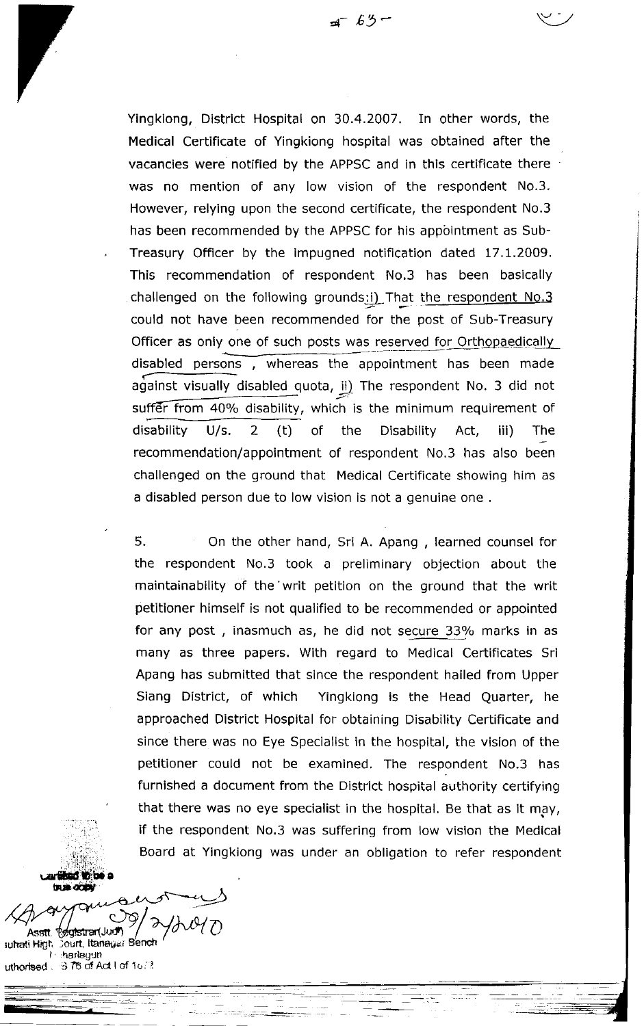Yingkiong, District Hospital on 30.4.2007. In other words, the Medical Certificate of Yingkiong hospital was obtained after the vacancies were notified by the APPSC and in this certificate there was no mention of any low vision of the respondent No.3. However, relying upon the second certificate, the respondent No.3 has been recommended by the APPSC for his appointment as Sub-Treasury Officer by the impugned notification dated 17.1.2009. This recommendation of respondent No,3 has been basically challenged on the following grounds:i) That the respondent No.3 could not have been recommended for the post of Sub-Treasury Officer as only one of such posts was reserved for Orthopaedically disabled persons  $\overline{h}$ , whereas the appointment has been made against visually disabled quota,  $ii)$  The respondent No. 3 did not suffer from 40% disability, which is the minimum requirement of disability U/s. 2 (t) of the Disability Act, iii) The recommendation/appointment of respondent No.3 has also been challenged on the ground that Medical Certificate showing him as a disabled person due to low vision is not a genuine one .

5. On the other hand, Sri A. Apang , learned counsel for the respondent No.3 took a preliminary objection about the maintainability of the'writ petition on the ground that the writ petitioner himself is not qualified to be recommended or appointed for any post, inasmuch as, he did not secure 33% marks in as many as three papers. With regard to Medical Certificates Sri Apang has submitted that since the respondent hailed from Upper Siang District, of which Yingkiong is the Head Quarter, he approached District Hospital for obtaining Disability Certificate and since there was no Eye Specialist in the hospital, the vision of the petitioner could not be examined. The respondent No.3 has furnished a document from the District hospital authority certifying that there was no eye specialist in the hospital. Be that as it may, if the respondent No.3 was suffering from low vision the Medical Board at Yingkiong was under an obligation to refer respondent

, ... *...*<br>...  $\ln \ln \alpha$ oo

 $\mathcal{L}^{\text{max}}_{\text{max}}$ 

.<br>اب つ  $\overline{O}$ Asstt. Pøgistrar(Judi) uhati High. Dourt, Itanagar B<mark>ench</mark><br>Frihanlagun uthorbed . 378 of Act I of 15, 2

a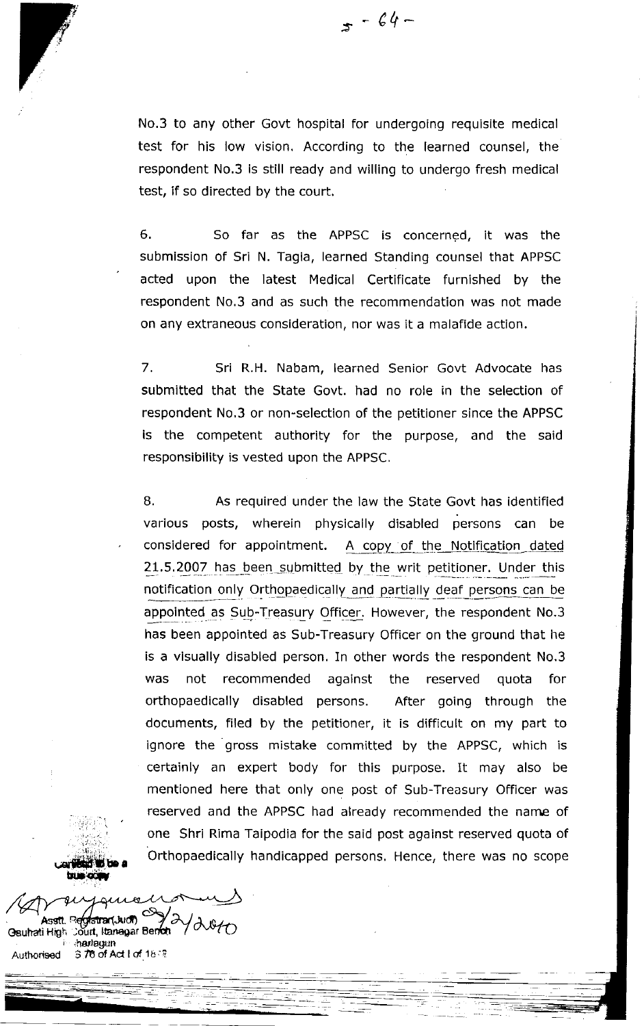$5 - 64 -$ 

No.3 to any other Govt hospital for undergoing requisite medical test for his low vision. According to the learned counsel, the respondent No.3 is still ready and willing to undergo fresh medical test, if so directed by the court.

6. So far as the APPSC is concerned, it was the submission of Sri N. Tagia, learned Standing counsel that APPSC acted upon the latest Medical Certificate furnished by the respondent No.3 and as such the recommendation was not made on any extraneous consideration, nor was it a malafide action.

7. Sri R.H. Nabam, learned Senior Govt Advocate has submitted that the State Govt. had no role in the selection of respondent No.3 or non-selection of the petitioner since the APPSC is the competent authority for the purpose, and the said responsibility is vested upon the APPSC.

B. As required under the law the State Govt has identified various posts, wherein physically disabled persons can be considered for appointment. A copy of the Notification dated 21.5.2007 has been submitted by the writ petitioner. Under this notification only Orthopaedically and partially deaf persons can be appointed as Sub-Treasury Officer. However, the respondent No.3 has been appointed as Sub-Treasury Officer on the ground that he is a visually disabled person. In other words the respondent No.3 was not recommended against the reserved quota for orthopaedically disabled persons. After going through the documents, filed by the petitioner, it is difficult on my part to ignore the gross mistake committed by the APPSC, which is certainly an expert body for this purpose. It may also be mentioned here that only one post of Sub-Treasury Officer was reserved and the APPSC had already recommended the name of one Shri Rima Taipodia for the said post against reserved quota of Orthopaedically handicapped persons, Hence, there was no scope

 $\mathcal{R}$  , .  $\sim$ oriented to be a<br>true ocean

 $\mathbb{Q}_2 \otimes \mathbb{C}$  )

Asstt. Registrar(Judit) C Assit. Registrar(Juidit)<br>Geuhati High Sourt, Itanayar Bendit / 2010 Authorised 3 76 of Act I of 18 ছ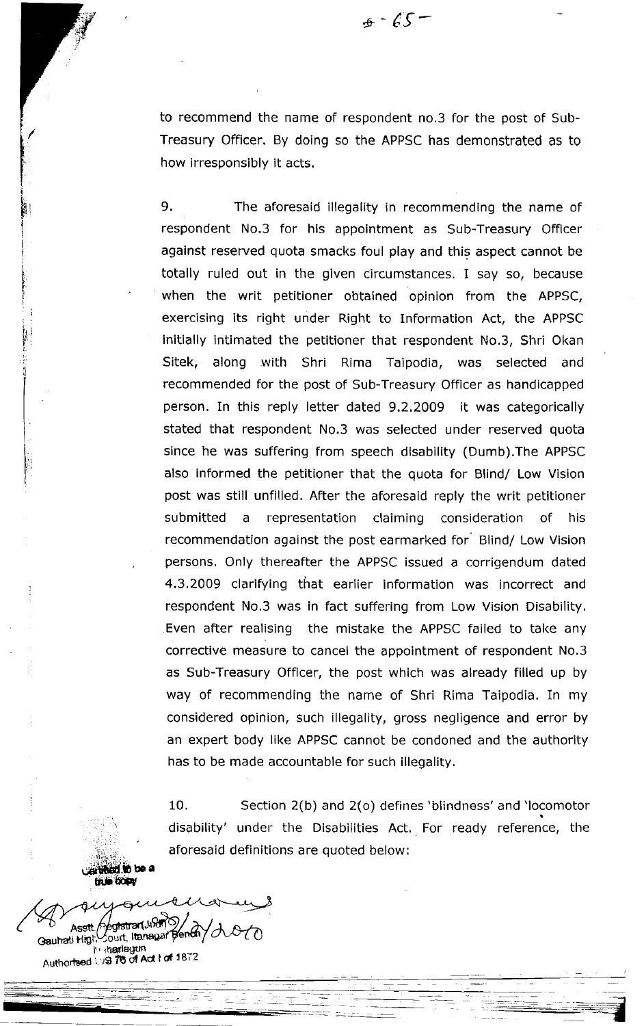$.65-$ 

to recommend the name of respondent no.3 for the post of Sub-Treasury Officer. By doing so the APPSC has demonstrated as to how irresponsibly it acts.

9. The aforesaid illegality in recommending the name of respondent No.3 for his appointment as Sub-Treasury Officer against reserved quota smacks foul play and this aspect cannot be totally ruled out in the given circumstances. I say so, because when the writ petitioner obtained opinion from the APPSC, exercising its right under Right to InFormation Act, the APPSC initially intimated the petitioner that respondent No.3, Shri Okan Sitek, along with Shri Rima Taipodia, was selected and recommended for the post of Sub-Treasury Officer as handicapped person. In this reply letter dated 9.2.2009 it was categorically stated that respondent No.3 was selected under reserved quota since he was suffering from speech disability (Dumb).The APPSC also informed the petitioner that the quota for Blind/ Low Vision post was still unfilled. After the aforesaid reply the writ petitioner submitted a representation claiming consideration of his recommendation against the post earmarked for Blind/ Low Vision persons. Only thereafter the APPSC issued a corrigendum dated 4.3.2009 clarifying that earlier information was incorrect and respondent No.3 was in fact suffering from Low Vision Disability. Even after realising the mistake the APPSC failed to take any corrective measure to cancel the appointment of respondent No.3 as Sub-Treasury Officer, the post which was already filled up by way of recommending the name of Shri Rima Taipodia. In my considered opinion, such illegality, gross negligence and error by an expert body like APPSC cannot be condoned and the authority has to be made accountable for such illegality.

10. Section 2(b) and 2(o) defines'blindness' and 'locomotor disability' under the Disabilities Act. For ready reference, the aforesaid definitions are quoted below:

As€t.  $\triangle$ om Gauhati Higr,<sup>∪</sup>ourt, I **h-harlsgun** he shartagun<br>Authortsed ∖/Ձ 76 of Act f of 187

.\*\*\*\*ded to be a<br>frie finally

I t, F {

> i t I i

> > iri

I ;i

> I I

 $\equiv$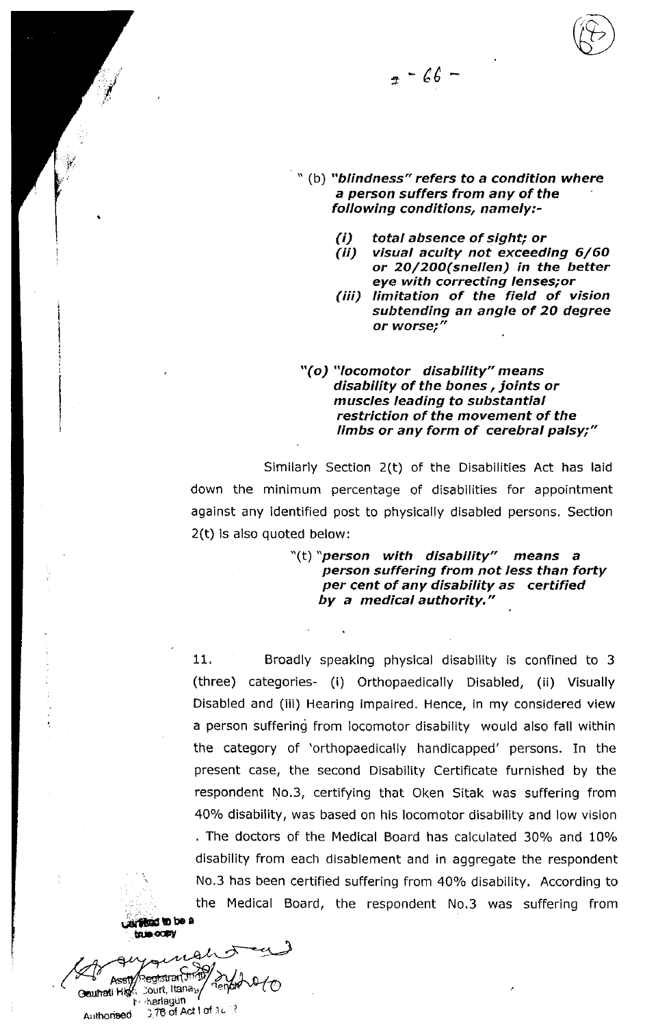$7 - 66 -$ 

- "(b) "blindness" refers to a condition where a person suffers from any of the following conditions, namely:
	- total absence of sight; or  $(i)$
	- $(ii)$ visual acuity not exceeding 6/60 or 20/200(snellen) in the better eye with correcting lenses; or
	- (iii) limitation of the field of vision subtending an angle of 20 degree or worse;"

## "(o) "locomotor disability" means disability of the bones, joints or muscles leading to substantial restriction of the movement of the limbs or any form of cerebral palsy;"

Similarly Section 2(t) of the Disabilities Act has laid down the minimum percentage of disabilities for appointment against any identified post to physically disabled persons. Section 2(t) is also quoted below:

> "(t) "person with disability" means a person suffering from not less than forty per cent of any disability as certified by a medical authority."

11. Broadly speaking physical disability is confined to 3 (three) categories- (i) Orthopaedically Disabled, (ii) Visually Disabled and (iii) Hearing impaired. Hence, in my considered view a person suffering from locomotor disability would also fall within the category of 'orthopaedically handicapped' persons. In the present case, the second Disability Certificate furnished by the respondent No.3, certifying that Oken Sitak was suffering from 40% disability, was based on his locomotor disability and low vision . The doctors of the Medical Board has calculated 30% and 10% disability from each disablement and in aggregate the respondent No.3 has been certified suffering from 40% disability. According to the Medical Board, the respondent No.3 was suffering from



**Marlagun** Authorised 3,78 of Act I of 16 3

Acall

Gauhati High Court, Itana<sub>by</sub>

egtstran (magy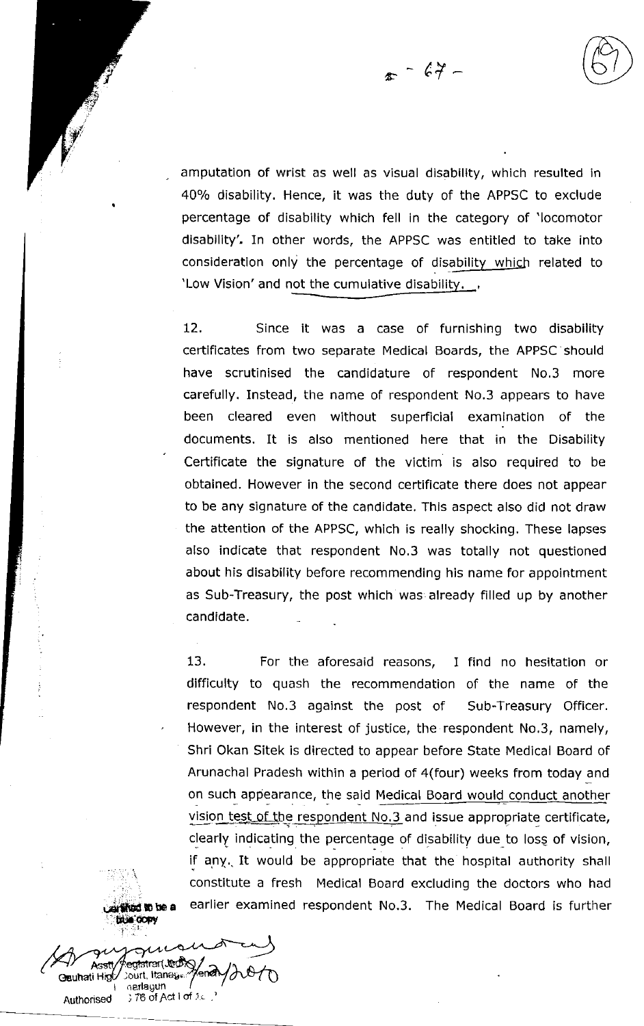$\epsilon$  -  $67$  -

amputation of wrist as well as visual disability, which resulted in 40% disability. Hence, it was the duty of the APPSC to exclude percentage of disability which fell in the category of 'locomotor disability'. In other words, the APPSC was entitled to take into consideration only the percentage of disability which related to 'Low Vision' and not the cumulative disability.

12. Since it was a case of furnishing two disability certificates from two separate Medical Boards, the APPSC should have scrutinised the candidature of respondent No.3 more carefully. Instead, the name of respondent No.3 appears to have been cleared even without superficial examination of the documents. It is also mentioned here that in the Disability Certificate the signature of the victim is also required to be obtained. However in the second certificate there does not appear to be any signature of the candidate. This aspect also did not draw the attention of the APPSC, which is really shocking. These lapses also indicate that respondent No.3 was totally not questioned about his disability before recommending his name for appointment as Sub-Treasury, the post which was already filled up by another candidate.

13. For the aforesaid reasons, I find no hesitation or difficulty to quash the recommendation of the name of the respondent No.3 against the post of Sub-Treasury Officer. However, in the interest of justice, the respondent No,3, namely, Shri Okan Sitek is directed to appear before State Medical Board of Arunachal Pradesh within a period of 4(four) weeks from today and on such appearance, the said Medical Board would conduct another vision test of the respondent No.3 and issue appropriate certificate, clearly indicating the percentage of disability due\_to losg of vision, if any. It would be appropriate that the hospital authority shall constitute a fresh Medical Board excluding the doctors who had earlier examined respondent No.3. The Medical Board is further

had to be a **EFORM** 

nerlagun

of Act I of  $\pi$ 

⁄enah

gtstrar(JeoX) /

Gauhati Higt/ Jourt, Itaneges

**Authorised**